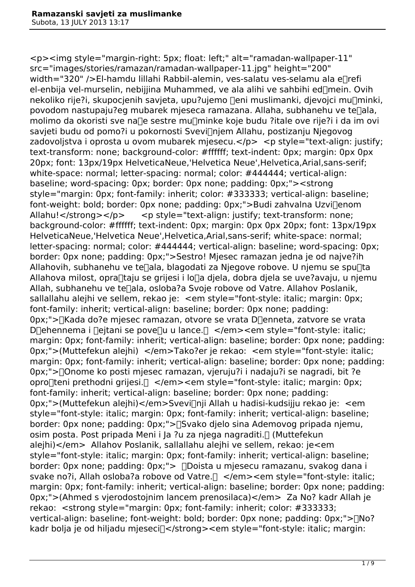<p><img style="margin-right: 5px; float: left;" alt="ramadan-wallpaper-11" src="images/stories/ramazan/ramadan-wallpaper-11.jpg" height="200" width="320" />El-hamdu lillahi Rabbil-alemin, ves-salatu ves-selamu ala e∏refi el-enbija vel-murselin, nebijijina Muhammed, ve ala alihi ve sahbihi ed $\Box$ mein. Ovih nekoliko rije?i, skupocjenih savjeta, upu?ujemo <sub>leni muslimanki, djevojci mulminki,</sub> povodom nastupaju?eg mubarek mjeseca ramazana. Allaha, subhanehu ve te<sub>[lala,</sub> molimo da okoristi sve na∏e sestre mu∏minke koje budu ?itale ove rije?i i da im ovi savjeti budu od pomo?i u pokornosti Svevi[njem Allahu, postizanju Njegovog zadovoljstva i oprosta u ovom mubarek mjesecu.</p> <p style="text-align: justify; text-transform: none; background-color: #ffffff; text-indent: 0px; margin: 0px 0px 20px; font: 13px/19px HelveticaNeue,'Helvetica Neue',Helvetica,Arial,sans-serif; white-space: normal; letter-spacing: normal; color: #444444; vertical-align: baseline; word-spacing: 0px; border: 0px none; padding: 0px;"><strong style="margin: 0px; font-family: inherit; color: #333333; vertical-align: baseline; font-weight: bold; border: 0px none; padding: 0px;">Budi zahvalna Uzvi∏enom Allahu!</strong></p> <p style="text-align: justify; text-transform: none; background-color: #ffffff; text-indent: 0px; margin: 0px 0px 20px; font: 13px/19px HelveticaNeue,'Helvetica Neue',Helvetica,Arial,sans-serif; white-space: normal; letter-spacing: normal; color: #444444; vertical-align: baseline; word-spacing: 0px; border: 0px none; padding: 0px;">Sestro! Mjesec ramazan jedna je od najve?ih Allahovih, subhanehu ve te $\Box$ ala, blagodati za Njegove robove. U njemu se spu $\Box$ ta Allahova milost, opra∏taju se grijesi i lo∏a djela, dobra djela se uve?avaju, u njemu Allah, subhanehu ve te $\Box$ ala, osloba?a Svoje robove od Vatre. Allahov Poslanik, sallallahu alejhi ve sellem, rekao je: <em style="font-style: italic; margin: 0px; font-family: inherit; vertical-align: baseline; border: 0px none; padding: 0px;">∏Kada do?e mjesec ramazan, otvore se vrata D∏enneta, zatvore se vrata D∏ehennema i ∏ejtani se pove∏u u lance.∏ </em><em style="font-style: italic; margin: 0px; font-family: inherit; vertical-align: baseline; border: 0px none; padding: 0px;">(Muttefekun alejhi) </em>Tako?er je rekao: <em style="font-style: italic; margin: 0px; font-family: inherit; vertical-align: baseline; border: 0px none; padding: 0px;">�Onome ko posti mjesec ramazan, vjeruju?i i nadaju?i se nagradi, bit ?e opro $\Box$ teni prethodni grijesi. $\Box$  </em><em style="font-style: italic; margin: 0px; font-family: inherit; vertical-align: baseline; border: 0px none; padding: 0px;">(Muttefekun alejhi)</em>Svevi�nji Allah u hadisi-kudsijju rekao je: <em style="font-style: italic; margin: 0px; font-family: inherit; vertical-align: baseline; border: 0px none; padding: 0px;">�Svako djelo sina Ademovog pripada njemu, osim posta. Post pripada Meni i Ja ?u za njega nagraditi. [] (Muttefekun alejhi)</em> Allahov Poslanik, sallallahu alejhi ve sellem, rekao: je<em style="font-style: italic; margin: 0px; font-family: inherit; vertical-align: baseline; border: 0px none; padding: 0px;">  $\Box$ Doista u mjesecu ramazanu, svakog dana i svake no?i, Allah osloba?a robove od Vatre. $\Box$  </em><em style="font-style: italic; margin: 0px; font-family: inherit; vertical-align: baseline; border: 0px none; padding: 0px;">(Ahmed s vjerodostojnim lancem prenosilaca)</em> Za No? kadr Allah je rekao: <strong style="margin: 0px; font-family: inherit; color: #333333; vertical-align: baseline; font-weight: bold; border: 0px none; padding: 0px:"> $\neg$ No? kadr bolja je od hiljadu mjeseci $\Box$ </strong><em style="font-style: italic; margin: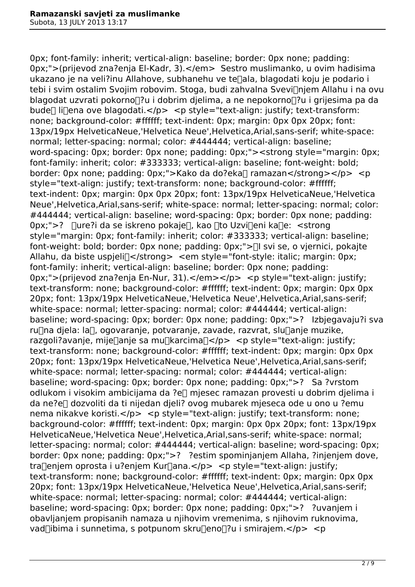0px; font-family: inherit; vertical-align: baseline; border: 0px none; padding: 0px;">(prijevod zna?enja El-Kadr, 3).</em> Sestro muslimanko, u ovim hadisima ukazano je na veli?inu Allahove, subhanehu ve te<sub>l</sub>ala, blagodati koju je podario i tebi i svim ostalim Svojim robovim. Stoga, budi zahvalna Svevi∏njem Allahu i na ovu blagodat uzvrati pokorno∏?u i dobrim djelima, a ne nepokorno∏?u i grijesima pa da bude $\Box$  li $\Box$ ena ove blagodati.</p> <p style="text-align: justify; text-transform: none; background-color: #ffffff; text-indent: 0px; margin: 0px 0px 20px; font: 13px/19px HelveticaNeue,'Helvetica Neue',Helvetica,Arial,sans-serif; white-space: normal; letter-spacing: normal; color: #444444; vertical-align: baseline; word-spacing: 0px; border: 0px none; padding: 0px;"><strong style="margin: 0px; font-family: inherit; color: #333333; vertical-align: baseline; font-weight: bold; border: 0px none; padding: 0px;">Kako da do?eka∏ ramazan</strong></p> <p style="text-align: justify; text-transform: none; background-color: #ffffff; text-indent: 0px; margin: 0px 0px 20px; font: 13px/19px HelveticaNeue,'Helvetica Neue',Helvetica,Arial,sans-serif; white-space: normal; letter-spacing: normal; color: #444444; vertical-align: baseline; word-spacing: 0px; border: 0px none; padding: 0px;">? ∏ure?i da se iskreno pokaje∏, kao ∏to Uzvi∏eni ka∏e: <strong style="margin: 0px; font-family: inherit; color: #333333; vertical-align: baseline; font-weight: bold; border: 0px none; padding: 0px;"> $\Box$  svi se, o vjernici, pokajte Allahu, da biste uspieli $\Box$ </strong> <em style="font-style: italic; margin: 0px; font-family: inherit; vertical-align: baseline; border: 0px none; padding: 0px;">(prijevod zna?enja En-Nur, 31).</em></p> <p style="text-align: justify; text-transform: none; background-color: #ffffff; text-indent: 0px; margin: 0px 0px 20px; font: 13px/19px HelveticaNeue,'Helvetica Neue',Helvetica,Arial,sans-serif; white-space: normal; letter-spacing: normal; color: #444444; vertical-align: baseline; word-spacing: 0px; border: 0px none; padding: 0px;">? Izbjegavaju?i sva ru $\Box$ na djela: la $\Box$ , ogovaranje, potvaranje, zavade, razvrat, slu $\Box$ anje muzike, razgoli?avanje, mije anje sa mu [karcima -/p> <p style="text-align: justify; text-transform: none; background-color: #ffffff; text-indent: 0px; margin: 0px 0px 20px; font: 13px/19px HelveticaNeue,'Helvetica Neue',Helvetica,Arial,sans-serif; white-space: normal; letter-spacing: normal; color: #444444; vertical-align: baseline; word-spacing: 0px; border: 0px none; padding: 0px;">? Sa ?vrstom odlukom i visokim ambicijama da ?e $\Box$  mjesec ramazan provesti u dobrim djelima i da ne?e∏ dozvoliti da ti nijedan djeli? ovog mubarek mjeseca ode u ono u ?emu nema nikakve koristi.</p> <p style="text-align: justify; text-transform: none; background-color: #ffffff; text-indent: 0px; margin: 0px 0px 20px; font: 13px/19px HelveticaNeue,'Helvetica Neue',Helvetica,Arial,sans-serif; white-space: normal; letter-spacing: normal; color: #444444; vertical-align: baseline; word-spacing: 0px; border: 0px none; padding: 0px;">? ?estim spominjanjem Allaha, ?injenjem dove, tra $\lceil$ enjem oprosta i u?enjem Kur $\lceil$ ana.</p> <p style="text-align: justify; text-transform: none; background-color: #ffffff; text-indent: 0px; margin: 0px 0px 20px; font: 13px/19px HelveticaNeue,'Helvetica Neue',Helvetica,Arial,sans-serif; white-space: normal; letter-spacing: normal; color: #444444; vertical-align: baseline; word-spacing: 0px; border: 0px none; padding: 0px;">? ?uvanjem i obavljanjem propisanih namaza u njihovim vremenima, s njihovim ruknovima, vad $\Box$ ibima i sunnetima, s potpunom skru $\Box$ eno $\Box$ ?u i smirajem.</p> <p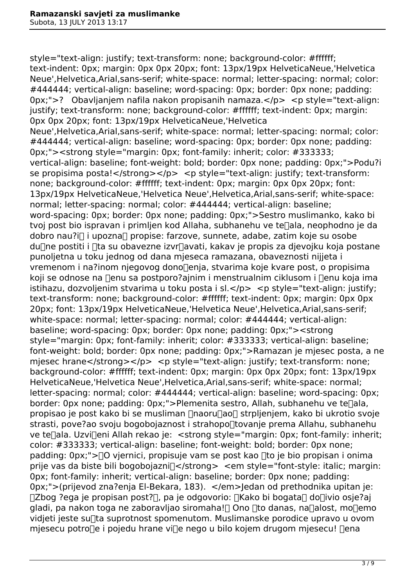style="text-align: justify; text-transform: none; background-color: #ffffff; text-indent: 0px; margin: 0px 0px 20px; font: 13px/19px HelveticaNeue,'Helvetica Neue',Helvetica,Arial,sans-serif; white-space: normal; letter-spacing: normal; color: #444444; vertical-align: baseline; word-spacing: 0px; border: 0px none; padding: 0px;">? Obavlianiem nafila nakon propisanih namaza.</p> <p style="text-align: justify; text-transform: none; background-color: #ffffff; text-indent: 0px; margin: 0px 0px 20px; font: 13px/19px HelveticaNeue,'Helvetica Neue',Helvetica,Arial,sans-serif; white-space: normal; letter-spacing: normal; color: #444444; vertical-align: baseline; word-spacing: 0px; border: 0px none; padding: 0px;"><strong style="margin: 0px; font-family: inherit; color: #333333; vertical-align: baseline; font-weight: bold; border: 0px none; padding: 0px;">Podu?i se propisima posta!</strong></p> <p style="text-align: justify; text-transform: none; background-color: #ffffff; text-indent: 0px; margin: 0px 0px 20px; font: 13px/19px HelveticaNeue,'Helvetica Neue',Helvetica,Arial,sans-serif; white-space: normal; letter-spacing: normal; color: #444444; vertical-align: baseline; word-spacing: 0px; border: 0px none; padding: 0px;">Sestro muslimanko, kako bi tvoj post bio ispravan i primljen kod Allaha, subhanehu ve te<sub>ll</sub>ala, neophodno je da dobro nau?i∏ i upozna∏ propise: farzove, sunnete, adabe, zatim koje su osobe du∏ne postiti i ∏ta su obavezne izvr∏avati, kakav je propis za djevojku koja postane punoljetna u toku jednog od dana mjeseca ramazana, obaveznosti nijjeta i vremenom i na?inom njegovog dono�enja, stvarima koje kvare post, o propisima koji se odnose na  $\Box$ enu sa postporo?ajnim i menstrualnim ciklusom i  $\Box$ enu koja ima istihazu, dozvoljenim stvarima u toku posta i sl $\langle p \rangle$   $\langle p \rangle$  style="text-align: justify; text-transform: none; background-color: #ffffff; text-indent: 0px; margin: 0px 0px 20px; font: 13px/19px HelveticaNeue,'Helvetica Neue',Helvetica,Arial,sans-serif; white-space: normal; letter-spacing: normal; color: #444444; vertical-align: baseline; word-spacing: 0px; border: 0px none; padding: 0px;"><strong style="margin: 0px; font-family: inherit; color: #333333; vertical-align: baseline; font-weight: bold; border: 0px none; padding: 0px;">Ramazan je mjesec posta, a ne miesec hrane</strong></p> <p style="text-align: justify; text-transform: none; background-color: #ffffff; text-indent: 0px; margin: 0px 0px 20px; font: 13px/19px HelveticaNeue,'Helvetica Neue',Helvetica,Arial,sans-serif; white-space: normal; letter-spacing: normal; color: #444444; vertical-align: baseline; word-spacing: 0px; border: 0px none; padding: 0px;">Plemenita sestro, Allah, subhanehu ve te $\Box$ ala, propisao je post kako bi se musliman  $\Box$ naoru $\Box$ ao $\Box$  strpljenjem, kako bi ukrotio svoje strasti, pove?ao svoju bogobojaznost i strahopo∏tovanje prema Allahu, subhanehu ve te<sub>[lala</sub>. Uzvi<sub>l]</sub>eni Allah rekao je: < strong style="margin: 0px; font-family: inherit; color: #333333; vertical-align: baseline; font-weight: bold; border: 0px none; padding: 0px;"> $\Box$ O vjernici, propisuje vam se post kao  $\Box$  to je bio propisan i onima prije vas da biste bili bogobojazni $\exists$ </strong> <em style="font-style: italic; margin: 0px; font-family: inherit; vertical-align: baseline; border: 0px none; padding: 0px;">(prijevod zna?enja El-Bekara, 183). </em>Jedan od prethodnika upitan je:  $\Box$ Zbog ?ega je propisan post? $\Box$ , pa je odgovorio:  $\Box$ Kako bi bogata $\Box$  do $\Box$ ivio osje?aj gladi, pa nakon toga ne zaboravliao siromaha! nOno nto danas, na alost, mo emo vidieti jeste sullta suprotnost spomenutom. Muslimanske porodice upravo u ovom mjesecu potro $\Box$ e i pojedu hrane vi $\Box$ e nego u bilo kojem drugom mjesecu!  $\Box$ ena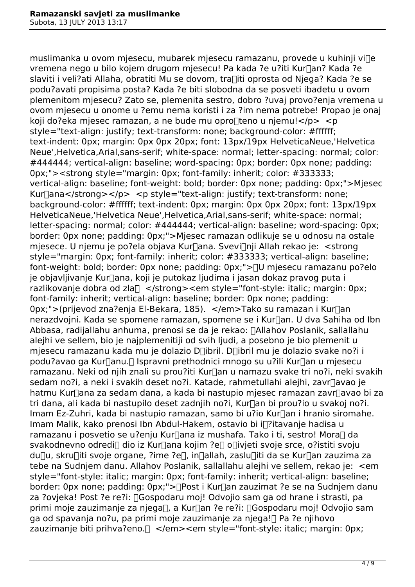muslimanka u ovom mjesecu, mubarek mjesecu ramazanu, provede u kuhinji ville vremena nego u bilo kojem drugom mjesecu! Pa kada ?e u?iti Kur∏an? Kada ?e slaviti i veli?ati Allaha, obratiti Mu se dovom, tra�iti oprosta od Njega? Kada ?e se podu?avati propisima posta? Kada ?e biti slobodna da se posveti ibadetu u ovom plemenitom mjesecu? Zato se, plemenita sestro, dobro ?uvaj provo?enja vremena u ovom mjesecu u onome u ?emu nema koristi i za ?im nema potrebe! Propao je onaj koji do?eka mjesec ramazan, a ne bude mu opro $\Box$ teno u njemu!</p> <p style="text-align: justify; text-transform: none; background-color: #ffffff; text-indent: 0px; margin: 0px 0px 20px; font: 13px/19px HelveticaNeue,'Helvetica Neue',Helvetica,Arial,sans-serif; white-space: normal; letter-spacing: normal; color: #444444; vertical-align: baseline; word-spacing: 0px; border: 0px none; padding: 0px;"><strong style="margin: 0px; font-family: inherit; color: #333333; vertical-align: baseline; font-weight: bold; border: 0px none; padding: 0px;">Mjesec Kur $\lceil$ ana</strong></p> <p style="text-align: justify; text-transform: none; background-color: #ffffff; text-indent: 0px; margin: 0px 0px 20px; font: 13px/19px HelveticaNeue,'Helvetica Neue',Helvetica,Arial,sans-serif; white-space: normal; letter-spacing: normal; color: #444444; vertical-align: baseline; word-spacing: 0px; border: 0px none; padding: 0px;">Mjesec ramazan odlikuje se u odnosu na ostale mjesece. U njemu je po?ela objava Kur∏ana. Svevi∏nji Allah rekao je: <strong style="margin: 0px; font-family: inherit; color: #333333; vertical-align: baseline; font-weight: bold; border: 0px none; padding: 0px;"> $\neg$ U mjesecu ramazanu po?elo je objavljivanje Kur∏ana, koji je putokaz ljudima i jasan dokaz pravog puta i razlikovanje dobra od zla $\Box$  </strong><em style="font-style: italic; margin: 0px; font-family: inherit; vertical-align: baseline; border: 0px none; padding: 0px;">(prijevod zna?enja El-Bekara, 185). </em>Tako su ramazan i Kur∏an nerazdvojni. Kada se spomene ramazan, spomene se i Kurlan. U dva Sahiha od Ibn Abbasa, radijallahu anhuma, prenosi se da je rekao: <a>[Allahov Poslanik, sallallahu alejhi ve sellem, bio je najplemenitiji od svih ljudi, a posebno je bio plemenit u mjesecu ramazanu kada mu je dolazio D∏ibril. D∏ibril mu je dolazio svake no?i i podu?avao ga Kur∏anu.∏ Ispravni prethodnici mnogo su u?ili Kur∏an u mjesecu ramazanu. Neki od njih znali su prou?iti Kur∏an u namazu svake tri no?i, neki svakih sedam no?i, a neki i svakih deset no?i. Katade, rahmetullahi alejhi, zavr∏avao je hatmu Kur∏ana za sedam dana, a kada bi nastupio mjesec ramazan zavr∏avao bi za tri dana, ali kada bi nastupilo deset zadnjih no?i, Kur∏an bi prou?io u svakoj no?i. Imam Ez-Zuhri, kada bi nastupio ramazan, samo bi u?io Kur∏an i hranio siromahe. Imam Malik, kako prenosi Ibn Abdul-Hakem, ostavio bi i�?itavanje hadisa u ramazanu i posvetio se u?enju Kur∏ana iz mushafa. Tako i ti, sestro! Mora∏ da svakodnevno odredi<sub>l</sub> dio iz Kur<sub>le</sub>na kojim ?e<sub>l</sub> o<sub>livjeti svoje srce, o?istiti svoju</sub> du∏u, skru∏iti svoje organe, ?ime ?e∏, in∏allah, zaslu∏iti da se Kur∏an zauzima za tebe na Sudnjem danu. Allahov Poslanik, sallallahu alejhi ve sellem, rekao je: <em style="font-style: italic; margin: 0px; font-family: inherit; vertical-align: baseline; border: 0px none; padding: 0px;">
post i Kur
an zauzimat ?e se na Sudniem danu za ?ovjeka! Post ?e re?i:  $\Box$ Gospodaru moj! Odvojio sam ga od hrane i strasti, pa primi moje zauzimanje za njega $\Box$ , a Kur $\Box$ an ?e re?i:  $\Box$ Gospodaru moj! Odvojio sam ga od spavanja no?u, pa primi moje zauzimanje za njega! $\Box$  Pa ?e njihovo zauzimanje biti prihva?eno. $\Box$  </waspendences style="font-style: italic; margin: 0px;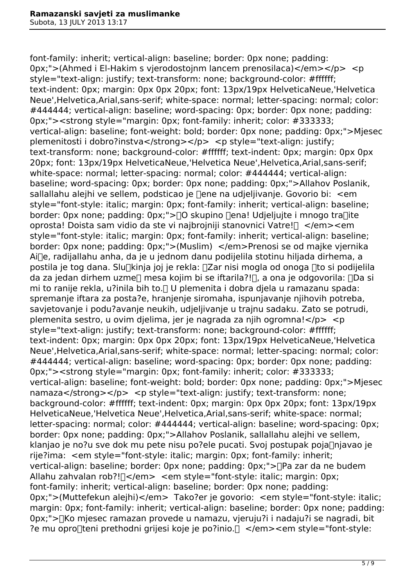font-family: inherit; vertical-align: baseline; border: 0px none; padding: 0px;">(Ahmed i El-Hakim s vierodostojnm lancem prenosilaca)</em></p> <p style="text-align: justify; text-transform: none; background-color: #ffffff; text-indent: 0px; margin: 0px 0px 20px; font: 13px/19px HelveticaNeue,'Helvetica Neue',Helvetica,Arial,sans-serif; white-space: normal; letter-spacing: normal; color: #444444; vertical-align: baseline; word-spacing: 0px; border: 0px none; padding: 0px;"><strong style="margin: 0px; font-family: inherit; color: #333333; vertical-align: baseline; font-weight: bold; border: 0px none; padding: 0px;">Mjesec plemenitosti i dobro?instva</strong></p></p>>>>>> <p style="text-align: justify; text-transform: none; background-color: #ffffff; text-indent: 0px; margin: 0px 0px 20px; font: 13px/19px HelveticaNeue,'Helvetica Neue',Helvetica,Arial,sans-serif; white-space: normal; letter-spacing: normal; color: #444444; vertical-align: baseline; word-spacing: 0px; border: 0px none; padding: 0px;">Allahov Poslanik, sallallahu alejhi ve sellem, podsticao je  $\Box$ ene na udjeljivanje. Govorio bi: <em style="font-style: italic; margin: 0px; font-family: inherit; vertical-align: baseline; border: 0px none; padding: 0px;">[]O skupino []ena! Udjeljujte i mnogo tra[]ite oprosta! Doista sam vidio da ste vi najbrojniji stanovnici Vatre!� </em><em style="font-style: italic; margin: 0px; font-family: inherit; vertical-align: baseline; border: 0px none; padding: 0px;">(Muslim) </em>Prenosi se od majke vjernika Ai∏e, radijallahu anha, da je u jednom danu podijelila stotinu hiljada dirhema, a postila je tog dana. Slu $\Box$ kinja joj je rekla:  $\Box$ Zar nisi mogla od onoga  $\Box$ to si podijelila da za jedan dirhem uzme $\Box$  mesa kojim bi se iftarila?! $\Box$ , a ona je odgovorila:  $\Box$ Da si mi to ranije rekla, u?inila bih to. $\Box$  U plemenita i dobra djela u ramazanu spada: spremanje iftara za posta?e, hranjenje siromaha, ispunjavanje njihovih potreba, savjetovanje i podu?avanje neukih, udjeljivanje u trajnu sadaku. Zato se potrudi, plemenita sestro, u ovim djelima, jer je nagrada za njih ogromna!</p> <p style="text-align: justify; text-transform: none; background-color: #ffffff; text-indent: 0px; margin: 0px 0px 20px; font: 13px/19px HelveticaNeue,'Helvetica Neue',Helvetica,Arial,sans-serif; white-space: normal; letter-spacing: normal; color: #444444; vertical-align: baseline; word-spacing: 0px; border: 0px none; padding: 0px;"><strong style="margin: 0px; font-family: inherit; color: #333333; vertical-align: baseline; font-weight: bold; border: 0px none; padding: 0px;">Mjesec namaza</strong></p> <p style="text-align: justify; text-transform: none; background-color: #ffffff; text-indent: 0px; margin: 0px 0px 20px; font: 13px/19px HelveticaNeue,'Helvetica Neue',Helvetica,Arial,sans-serif; white-space: normal; letter-spacing: normal; color: #444444; vertical-align: baseline; word-spacing: 0px; border: 0px none; padding: 0px;">Allahov Poslanik, sallallahu alejhi ve sellem, klanjao je no?u sve dok mu pete nisu po?ele pucati. Svoj postupak poja∏njavao je rije?ima: <em style="font-style: italic; margin: 0px; font-family: inherit; vertical-align: baseline; border: 0px none; padding: 0px;">�Pa zar da ne budem Allahu zahvalan rob?! $\Box$ </waldom> <em style="font-style: italic; margin: 0px; font-family: inherit; vertical-align: baseline; border: 0px none; padding: 0px;">(Muttefekun alejhi)</em> Tako?er je govorio: <em style="font-style: italic; margin: 0px; font-family: inherit; vertical-align: baseline; border: 0px none; padding: 0px;">�Ko mjesec ramazan provede u namazu, vjeruju?i i nadaju?i se nagradi, bit ?e mu opro∏teni prethodni grijesi koje je po?inio. $\Box$  </em><em style="font-style: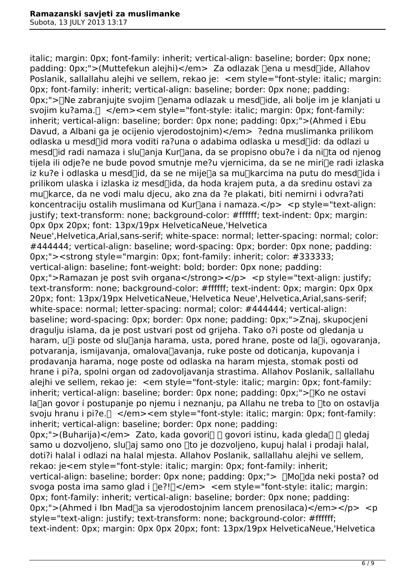italic; margin: 0px; font-family: inherit; vertical-align: baseline; border: 0px none; padding: 0px;">(Muttefekun alejhi)</em> Za odlazak ∏ena u mesd∏ide, Allahov Poslanik, sallallahu alejhi ve sellem, rekao je: <em style="font-style: italic; margin: 0px; font-family: inherit; vertical-align: baseline; border: 0px none; padding: 0px;">∏Ne zabranjujte svojim ∏enama odlazak u mesd∏ide, ali bolje im je klanjati u svojim ku?ama. $\Box$  </em><em style="font-style: italic; margin: 0px; font-family: inherit; vertical-align: baseline; border: 0px none; padding: 0px;">(Ahmed i Ebu Davud, a Albani ga je ocijenio vjerodostojnim) </em>?edna muslimanka prilikom odlaska u mesd<sub>l</sub>id mora voditi ra?una o adabima odlaska u mesd<sub>l</sub>id: da odlazi u mesd∏id radi namaza i slu∏anja Kur∏ana, da se propisno obu?e i da ni∏ta od njenog tijela ili odje?e ne bude povod smutnje me?u vjernicima, da se ne miri∏e radi izlaska iz ku?e i odlaska u mesd∏id, da se ne mije∏a sa mu∏karcima na putu do mesd∏ida i prilikom ulaska i izlaska iz mesd�ida, da hoda krajem puta, a da sredinu ostavi za mu�karce, da ne vodi malu djecu, ako zna da ?e plakati, biti nemirni i odvra?ati koncentraciju ostalih muslimana od Kurnana i namaza.</p> <p style="text-align: justify; text-transform: none; background-color: #ffffff; text-indent: 0px; margin: 0px 0px 20px; font: 13px/19px HelveticaNeue,'Helvetica Neue',Helvetica,Arial,sans-serif; white-space: normal; letter-spacing: normal; color: #444444; vertical-align: baseline; word-spacing: 0px; border: 0px none; padding: 0px;"><strong style="margin: 0px; font-family: inherit; color: #333333; vertical-align: baseline; font-weight: bold; border: 0px none; padding: 0px;">Ramazan je post svih organa</strong></p> <p style="text-align: justify; text-transform: none; background-color: #ffffff; text-indent: 0px; margin: 0px 0px 20px; font: 13px/19px HelveticaNeue,'Helvetica Neue',Helvetica,Arial,sans-serif; white-space: normal; letter-spacing: normal; color: #444444; vertical-align: baseline; word-spacing: 0px; border: 0px none; padding: 0px;">Znaj, skupocjeni dragulju islama, da je post ustvari post od grijeha. Tako o?i poste od gledanja u haram, u $\Box$ i poste od slu $\Box$ anja harama, usta, pored hrane, poste od la $\Box$ i, ogovaranja, potvaranja, ismijavanja, omalova $\Box$ avanja, ruke poste od doticanja, kupovanja i prodavanja harama, noge poste od odlaska na haram mjesta, stomak posti od hrane i pi?a, spolni organ od zadovoljavanja strastima. Allahov Poslanik, sallallahu alejhi ve sellem, rekao je: <em style="font-style: italic; margin: 0px; font-family: inherit; vertical-align: baseline; border: 0px none; padding: 0px;">
Soliche ostavi  $Ia$ an govor i postupanje po njemu i neznanju, pa Allahu ne treba to  $\Box$ to on ostavlja svoju hranu i pi?e. $\Box$  </em><em style="font-style: italic; margin: 0px; font-family: inherit; vertical-align: baseline; border: 0px none; padding: 0px;">(Buharija)</em> Zato, kada govori∏ ∏ govori istinu, kada gleda∏ ∏ gledaj samo u dozvoljeno, slu $\Box$ aj samo ono  $\Box$ to je dozvoljeno, kupuj halal i prodaji halal, doti?i halal i odlazi na halal mjesta. Allahov Poslanik, sallallahu alejhi ve sellem, rekao: je<em style="font-style: italic; margin: 0px; font-family: inherit; vertical-align: baseline; border: 0px none; padding: 0px;">  $\Box$ Mo $\Box$ da neki posta? od svoga posta ima samo glad i  $\text{Re}$ ?! $\text{Re}$  = <em style="font-style: italic: margin: 0px; font-family: inherit; vertical-align: baseline; border: 0px none; padding: 0px;">(Ahmed i Ibn Mad∏a sa vierodostojnim lancem prenosilaca)</em></p> <p style="text-align: justify; text-transform: none; background-color: #ffffff; text-indent: 0px; margin: 0px 0px 20px; font: 13px/19px HelveticaNeue,'Helvetica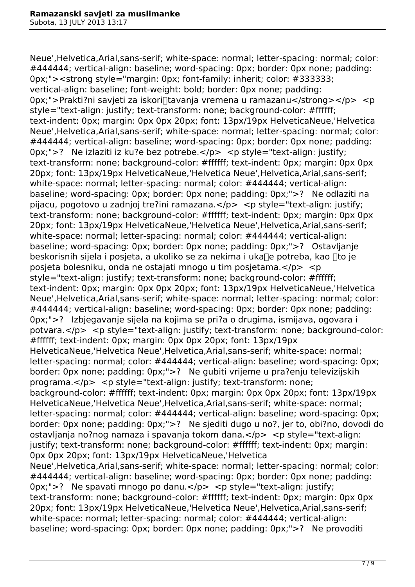Neue',Helvetica,Arial,sans-serif; white-space: normal; letter-spacing: normal; color: #444444; vertical-align: baseline; word-spacing: 0px; border: 0px none; padding: 0px;"><strong style="margin: 0px; font-family: inherit; color: #333333; vertical-align: baseline; font-weight: bold; border: 0px none; padding: 0px;">Prakti?ni savjeti za iskori∏tavanja vremena u ramazanu</strong></p> <p style="text-align: justify; text-transform: none; background-color: #ffffff; text-indent: 0px; margin: 0px 0px 20px; font: 13px/19px HelveticaNeue,'Helvetica Neue',Helvetica,Arial,sans-serif; white-space: normal; letter-spacing: normal; color: #444444; vertical-align: baseline; word-spacing: 0px; border: 0px none; padding: 0px;">? Ne izlaziti iz ku?e bez potrebe.</p> <p style="text-align: justify; text-transform: none; background-color: #ffffff; text-indent: 0px; margin: 0px 0px 20px; font: 13px/19px HelveticaNeue,'Helvetica Neue',Helvetica,Arial,sans-serif; white-space: normal; letter-spacing: normal; color: #444444; vertical-align: baseline; word-spacing: 0px; border: 0px none; padding: 0px;">? Ne odlaziti na pijacu, pogotovo u zadnjoj tre?ini ramazana.</p> <p style="text-align: justify; text-transform: none; background-color: #ffffff; text-indent: 0px; margin: 0px 0px 20px; font: 13px/19px HelveticaNeue,'Helvetica Neue',Helvetica,Arial,sans-serif; white-space: normal; letter-spacing: normal; color: #444444; vertical-align: baseline; word-spacing: 0px; border: 0px none; padding: 0px;">? Ostavljanje beskorisnih sijela i posjeta, a ukoliko se za nekima i uka $\Box$ e potreba, kao  $\Box$ to je posjeta bolesniku, onda ne ostajati mnogo u tim posjetama.</p> <p style="text-align: justify; text-transform: none; background-color: #ffffff; text-indent: 0px; margin: 0px 0px 20px; font: 13px/19px HelveticaNeue,'Helvetica Neue',Helvetica,Arial,sans-serif; white-space: normal; letter-spacing: normal; color: #444444; vertical-align: baseline; word-spacing: 0px; border: 0px none; padding: 0px;">? Izbjegavanje sijela na kojima se pri?a o drugima, ismijava, ogovara i potvara.</p> <p style="text-align: justify; text-transform: none; background-color: #ffffff; text-indent: 0px; margin: 0px 0px 20px; font: 13px/19px HelveticaNeue,'Helvetica Neue',Helvetica,Arial,sans-serif; white-space: normal; letter-spacing: normal; color: #444444; vertical-align: baseline; word-spacing: 0px; border: 0px none; padding: 0px;">? Ne gubiti vrijeme u pra?enju televizijskih programa. $\langle p \rangle$   $\langle p \rangle$   $\langle p \rangle$  style="text-align: justify; text-transform: none; background-color: #ffffff; text-indent: 0px; margin: 0px 0px 20px; font: 13px/19px HelveticaNeue,'Helvetica Neue',Helvetica,Arial,sans-serif; white-space: normal; letter-spacing: normal; color: #444444; vertical-align: baseline; word-spacing: 0px; border: 0px none; padding: 0px;">? Ne sjediti dugo u no?, jer to, obi?no, dovodi do ostavljanja no?nog namaza i spavanja tokom dana.</p> <p style="text-align: justify; text-transform: none; background-color: #ffffff; text-indent: 0px; margin: 0px 0px 20px; font: 13px/19px HelveticaNeue,'Helvetica Neue',Helvetica,Arial,sans-serif; white-space: normal; letter-spacing: normal; color: #444444; vertical-align: baseline; word-spacing: 0px; border: 0px none; padding: 0px;">? Ne spavati mnogo po danu.</p> <p style="text-align: justify; text-transform: none; background-color: #ffffff; text-indent: 0px; margin: 0px 0px 20px; font: 13px/19px HelveticaNeue,'Helvetica Neue',Helvetica,Arial,sans-serif; white-space: normal: letter-spacing: normal: color: #444444: vertical-align: baseline; word-spacing: 0px; border: 0px none; padding: 0px;">? Ne provoditi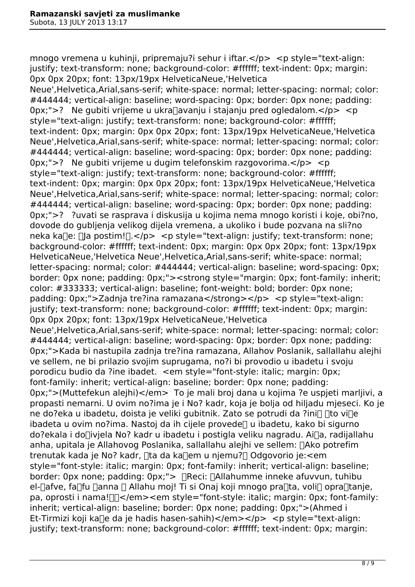mnogo vremena u kuhinji, pripremaju?i sehur i iftar.</p> <p style="text-align: justify; text-transform: none; background-color: #ffffff; text-indent: 0px; margin: 0px 0px 20px; font: 13px/19px HelveticaNeue,'Helvetica

Neue',Helvetica,Arial,sans-serif; white-space: normal; letter-spacing: normal; color: #444444; vertical-align: baseline; word-spacing: 0px; border: 0px none; padding: 0px;">? Ne qubiti vrijeme u ukra $\Box a$ vanju i stajanju pred ogledalom. $\angle$ /p>  $\angle p$ style="text-align: justify; text-transform: none; background-color: #ffffff; text-indent: 0px; margin: 0px 0px 20px; font: 13px/19px HelveticaNeue,'Helvetica Neue',Helvetica,Arial,sans-serif; white-space: normal; letter-spacing: normal; color: #444444; vertical-align: baseline; word-spacing: 0px; border: 0px none; padding: 0px;">? Ne gubiti vrijeme u dugim telefonskim razgovorima.</p> <p style="text-align: justify; text-transform: none; background-color: #ffffff; text-indent: 0px; margin: 0px 0px 20px; font: 13px/19px HelveticaNeue,'Helvetica Neue',Helvetica,Arial,sans-serif; white-space: normal; letter-spacing: normal; color: #444444; vertical-align: baseline; word-spacing: 0px; border: 0px none; padding: 0px;">? ?uvati se rasprava i diskusija u kojima nema mnogo koristi i koje, obi?no, dovode do gubljenja velikog dijela vremena, a ukoliko i bude pozvana na sli?no neka ka $\Box$ e:  $\Box$ la postim! $\Box$ .</p> <p style="text-align: justify; text-transform: none; background-color: #ffffff; text-indent: 0px; margin: 0px 0px 20px; font: 13px/19px HelveticaNeue,'Helvetica Neue',Helvetica,Arial,sans-serif; white-space: normal; letter-spacing: normal; color: #444444; vertical-align: baseline; word-spacing: 0px; border: 0px none; padding: 0px;"><strong style="margin: 0px; font-family: inherit; color: #333333; vertical-align: baseline; font-weight: bold; border: 0px none; padding: 0px;">Zadnja tre?ina ramazana</strong></p> <p style="text-align: justify; text-transform: none; background-color: #ffffff; text-indent: 0px; margin: 0px 0px 20px; font: 13px/19px HelveticaNeue,'Helvetica Neue',Helvetica,Arial,sans-serif; white-space: normal; letter-spacing: normal; color: #444444; vertical-align: baseline; word-spacing: 0px; border: 0px none; padding: 0px;">Kada bi nastupila zadnja tre?ina ramazana, Allahov Poslanik, sallallahu alejhi ve sellem, ne bi prilazio svojim suprugama, no?i bi provodio u ibadetu i svoju porodicu budio da ?ine ibadet. <em style="font-style: italic; margin: 0px; font-family: inherit; vertical-align: baseline; border: 0px none; padding: 0px;">(Muttefekun alejhi)</em> To je mali broj dana u kojima ?e uspjeti marljivi, a propasti nemarni. U ovim no?ima je i No? kadr, koja je bolja od hiljadu mjeseci. Ko je ne do?eka u ibadetu, doista je veliki gubitnik. Zato se potrudi da ?ini∏ ∏to vi∏e ibadeta u ovim no?ima. Nastoj da ih cijele provede<sub>[]</sub> u ibadetu, kako bi sigurno do?ekala i do�ivjela No? kadr u ibadetu i postigla veliku nagradu. Ai�a, radijallahu anha, upitala je Allahovog Poslanika, sallallahu alejhi ve sellem: []Ako potrefim trenutak kada je No? kadr, ∏ta da ka∏em u njemu?∏ Odgovorio je:<em style="font-style: italic; margin: 0px; font-family: inherit; vertical-align: baseline; border: 0px none; padding: 0px;">  $\Box$ Reci:  $\Box$ Allahumme inneke afuvvun, tuhibu el-nafve, fanfu nanna n Allahu moj! Ti si Onaj koji mnogo pranta, volin oprantanje, pa, oprosti i nama! $\Box$  </em><em style="font-style: italic; margin: 0px; font-family: inherit; vertical-align: baseline; border: 0px none; padding: 0px;">(Ahmed i Et-Tirmizi koji ka∏e da je hadis hasen-sahih)</em></p> <p style="text-align: justify; text-transform: none; background-color: #ffffff; text-indent: 0px; margin: